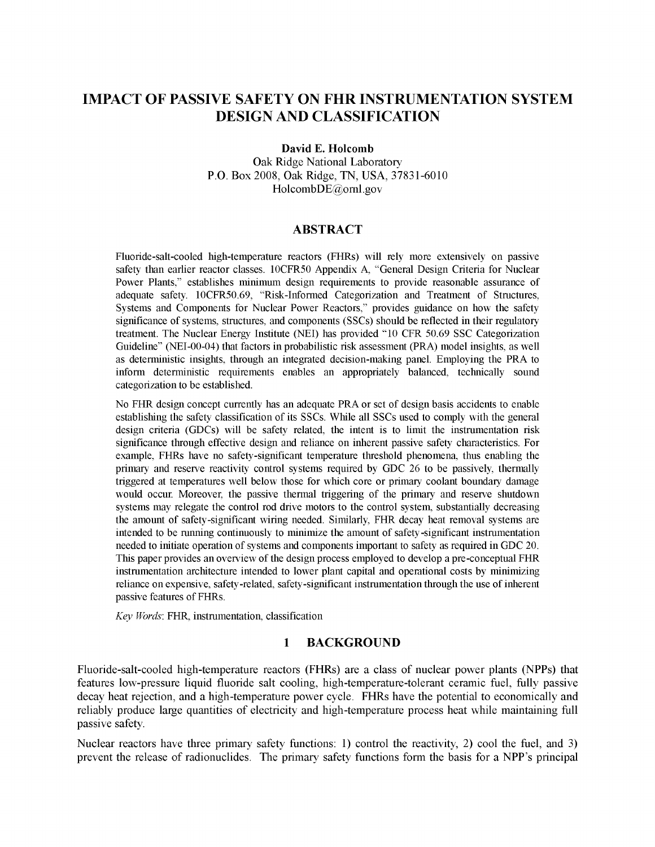# **IMPACT OF PASSIVE SAFETY ON FHR INSTRUMENTATION SYSTEM DESIGN AND CLASSIFICATION**

**David E. Holcomb**

Oak Ridge National Laboratory P.O. Box 2008, Oak Ridge, TN, USA, 37831-6010 HolcombDE@ornl.gov

#### **ABSTRACT**

Fluoride-salt-cooled high-temperature reactors (FHRs) will rely more extensively on passive safety than earlier reactor classes. 10CFR50 Appendix A, "General Design Criteria for Nuclear Power Plants," establishes minimum design requirements to provide reasonable assurance of adequate safety. 10CFR50.69, "Risk-Informed Categorization and Treatment of Structures, Systems and Components for Nuclear Power Reactors," provides guidance on how the safety significance of systems, structures, and components (SSCs) should be reflected in their regulatory treatment. The Nuclear Energy Institute (NEI) has provided "10 CFR 50.69 SSC Categorization Guideline" (NEI-00-04) that factors in probabilistic risk assessment (PRA) model insights, as well as deterministic insights, through an integrated decision-making panel. Employing the PRA to inform deterministic requirements enables an appropriately balanced, technically sound categorization to be established.

No FHR design concept currently has an adequate PRA or set of design basis accidents to enable establishing the safety classification of its SSCs. While all SSCs used to comply with the general design criteria (GDCs) will be safety related, the intent is to limit the instrumentation risk significance through effective design and reliance on inherent passive safety characteristics. For example, FHRs have no safety-significant temperature threshold phenomena, thus enabling the primary and reserve reactivity control systems required by GDC 26 to be passively, thermally triggered at temperatures well below those for which core or primary coolant boundary damage would occur. Moreover, the passive thermal triggering of the primary and reserve shutdown systems may relegate the control rod drive motors to the control system, substantially decreasing the amount of safety-significant wiring needed. Similarly, FHR decay heat removal systems are intended to be running continuously to minimize the amount of safety-significant instrumentation needed to initiate operation of systems and components important to safety as required in GDC 20. This paper provides an overview of the design process employed to develop a pre-conceptual FHR instrumentation architecture intended to lower plant capital and operational costs by minimizing reliance on expensive, safety-related, safety-significant instrumentation through the use ofinherent passive features of FHRs.

*Key Words*: FHR, instrumentation, classification

### **1 BACKGROUND**

Fluoride-salt-cooled high-temperature reactors (FHRs) are a class of nuclear power plants (NPPs) that features low-pressure liquid fluoride salt cooling, high-temperature-tolerant ceramic fuel, fully passive decay heat rejection, and a high-temperature power cycle. FHRs have the potential to economically and reliably produce large quantities of electricity and high-temperature process heat while maintaining full passive safety.

Nuclear reactors have three primary safety functions: 1) control the reactivity, 2) cool the fuel, and 3) prevent the release of radionuclides. The primary safety functions form the basis for a NPP's principal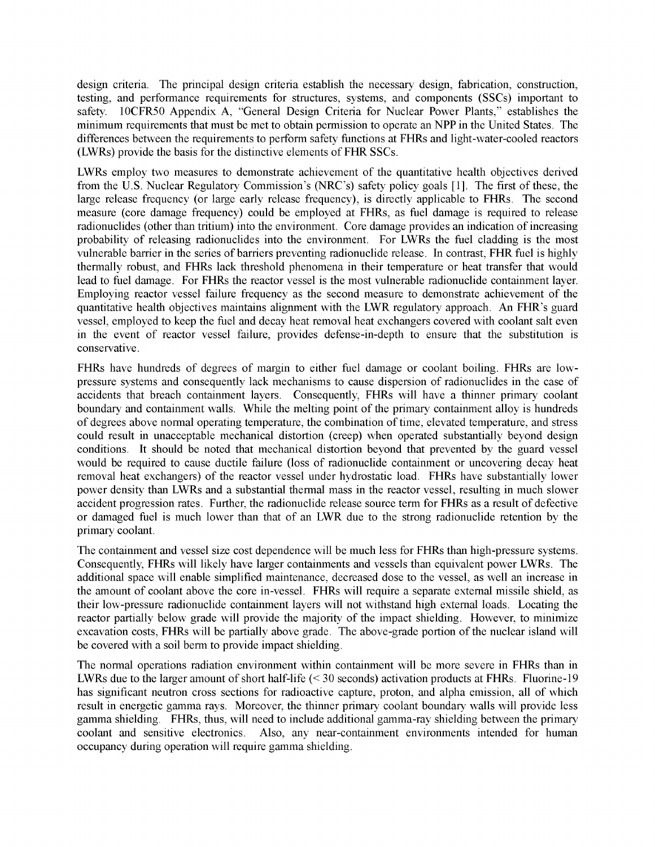design criteria. The principal design criteria establish the necessary design, fabrication, construction, testing, and performance requirements for structures, systems, and components (SSCs) important to safety. 10CFR50 Appendix A, "General Design Criteria for Nuclear Power Plants," establishes the minimum requirements that must be met to obtain permission to operate an NPP in the United States. The differences between the requirements to perform safety functions at FHRs and light-water-cooled reactors (LWRs) provide the basis for the distinctive elements of FHR SSCs.

LWRs employ two measures to demonstrate achievement of the quantitative health objectives derived from the U.S. Nuclear Regulatory Commission's (NRC's) safety policy goals [1]. The first of these, the large release frequency (or large early release frequency), is directly applicable to FHRs. The second measure (core damage frequency) could be employed at FHRs, as fuel damage is required to release radionuclides (other than tritium) into the environment. Core damage provides an indication of increasing probability of releasing radionuclides into the environment. For LWRs the fuel cladding is the most vulnerable barrier in the series of barriers preventing radionuclide release. In contrast, FHR fuel is highly thermally robust, and FHRs lack threshold phenomena in their temperature or heat transfer that would lead to fuel damage. For FHRs the reactor vessel is the most vulnerable radionuclide containment layer. Employing reactor vessel failure frequency as the second measure to demonstrate achievement of the quantitative health objectives maintains alignment with the LWR regulatory approach. An FHR's guard vessel, employed to keep the fuel and decay heat removal heat exchangers covered with coolant salt even in the event of reactor vessel failure, provides defense-in-depth to ensure that the substitution is conservative.

FHRs have hundreds of degrees of margin to either fuel damage or coolant boiling. FHRs are lowpressure systems and consequently lack mechanisms to cause dispersion of radionuclides in the case of accidents that breach containment layers. Consequently, FHRs will have a thinner primary coolant boundary and containment walls. While the melting point of the primary containment alloy is hundreds of degrees above normal operating temperature, the combination of time, elevated temperature, and stress could result in unacceptable mechanical distortion (creep) when operated substantially beyond design conditions. It should be noted that mechanical distortion beyond that prevented by the guard vessel would be required to cause ductile failure (loss of radionuclide containment or uncovering decay heat removal heat exchangers) of the reactor vessel under hydrostatic load. FHRs have substantially lower power density than LWRs and a substantial thermal mass in the reactor vessel, resulting in much slower accident progression rates. Further, the radionuclide release source term for FHRs as a result of defective or damaged fuel is much lower than that of an LWR due to the strong radionuclide retention by the primary coolant.

The containment and vessel size cost dependence will be much less for FHRs than high-pressure systems. Consequently, FHRs will likely have larger containments and vessels than equivalent power LWRs. The additional space will enable simplified maintenance, decreased dose to the vessel, as well an increase in the amount of coolant above the core in-vessel. FHRs will require a separate external missile shield, as their low-pressure radionuclide containment layers will not withstand high external loads. Locating the reactor partially below grade will provide the majority of the impact shielding. However, to minimize excavation costs, FHRs will be partially above grade. The above-grade portion of the nuclear island will be covered with a soil berm to provide impact shielding.

The normal operations radiation environment within containment will be more severe in FHRs than in LWRs due to the larger amount of short half-life  $(< 30$  seconds) activation products at FHRs. Fluorine-19 has significant neutron cross sections for radioactive capture, proton, and alpha emission, all of which result in energetic gamma rays. Moreover, the thinner primary coolant boundary walls will provide less gamma shielding. FHRs, thus, will need to include additional gamma-ray shielding between the primary coolant and sensitive electronics. Also, any near-containment environments intended for human occupancy during operation will require gamma shielding.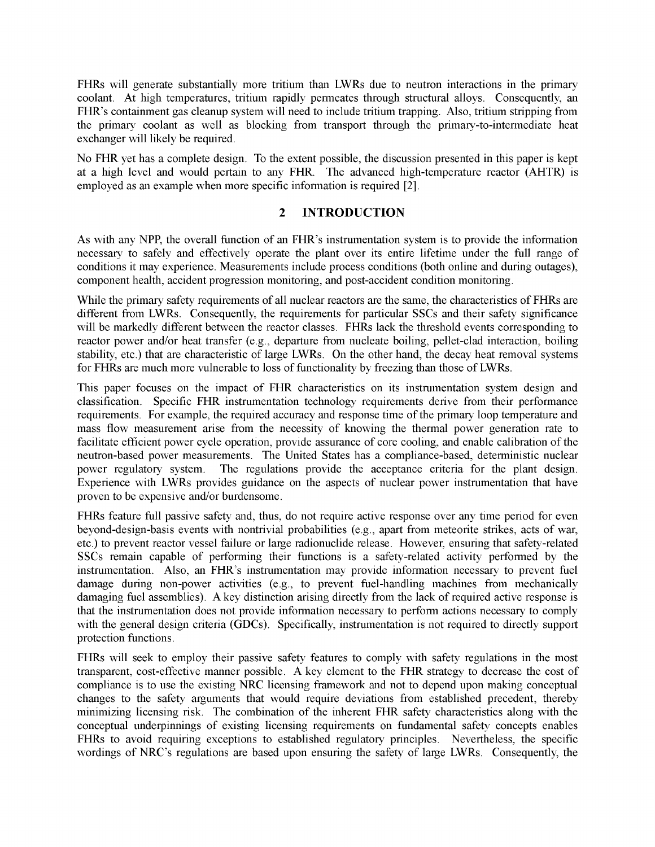FHRs will generate substantially more tritium than LWRs due to neutron interactions in the primary coolant. At high temperatures, tritium rapidly permeates through structural alloys. Consequently, an FHR's containment gas cleanup system will need to include tritium trapping. Also, tritium stripping from the primary coolant as well as blocking from transport through the primary-to-intermediate heat exchanger will likely be required.

No FHR yet has a complete design. To the extent possible, the discussion presented in this paper is kept at a high level and would pertain to any FHR. The advanced high-temperature reactor (AHTR) is employed as an example when more specific information is required [2].

## **2 INTRODUCTION**

As with any NPP, the overall function of an FHR's instrumentation system is to provide the information necessary to safely and effectively operate the plant over its entire lifetime under the full range of conditions it may experience. Measurements include process conditions (both online and during outages), component health, accident progression monitoring, and post-accident condition monitoring.

While the primary safety requirements of all nuclear reactors are the same, the characteristics of FHRs are different from LWRs. Consequently, the requirements for particular SSCs and their safety significance will be markedly different between the reactor classes. FHRs lack the threshold events corresponding to reactor power and/or heat transfer (e.g., departure from nucleate boiling, pellet-clad interaction, boiling stability, etc.) that are characteristic of large LWRs. On the other hand, the decay heat removal systems for FHRs are much more vulnerable to loss of functionality by freezing than those of LWRs.

This paper focuses on the impact of FHR characteristics on its instrumentation system design and classification. Specific FHR instrumentation technology requirements derive from their performance requirements. For example, the required accuracy and response time of the primary loop temperature and mass flow measurement arise from the necessity of knowing the thermal power generation rate to facilitate efficient power cycle operation, provide assurance of core cooling, and enable calibration of the neutron-based power measurements. The United States has a compliance-based, deterministic nuclear power regulatory system. The regulations provide the acceptance criteria for the plant design. Experience with LWRs provides guidance on the aspects of nuclear power instrumentation that have proven to be expensive and/or burdensome.

FHRs feature full passive safety and, thus, do not require active response over any time period for even beyond-design-basis events with nontrivial probabilities (e.g., apart from meteorite strikes, acts of war, etc.) to prevent reactor vessel failure or large radionuclide release. However, ensuring that safety-related SSCs remain capable of performing their functions is a safety-related activity performed by the instrumentation. Also, an FHR's instrumentation may provide information necessary to prevent fuel damage during non-power activities (e.g., to prevent fuel-handling machines from mechanically damaging fuel assemblies). A key distinction arising directly from the lack of required active response is that the instrumentation does not provide information necessary to perform actions necessary to comply with the general design criteria (GDCs). Specifically, instrumentation is not required to directly support protection functions.

FHRs will seek to employ their passive safety features to comply with safety regulations in the most transparent, cost-effective manner possible. A key element to the FHR strategy to decrease the cost of compliance is to use the existing NRC licensing framework and not to depend upon making conceptual changes to the safety arguments that would require deviations from established precedent, thereby minimizing licensing risk. The combination of the inherent FHR safety characteristics along with the conceptual underpinnings of existing licensing requirements on fundamental safety concepts enables FHRs to avoid requiring exceptions to established regulatory principles. Nevertheless, the specific wordings of NRC's regulations are based upon ensuring the safety of large LWRs. Consequently, the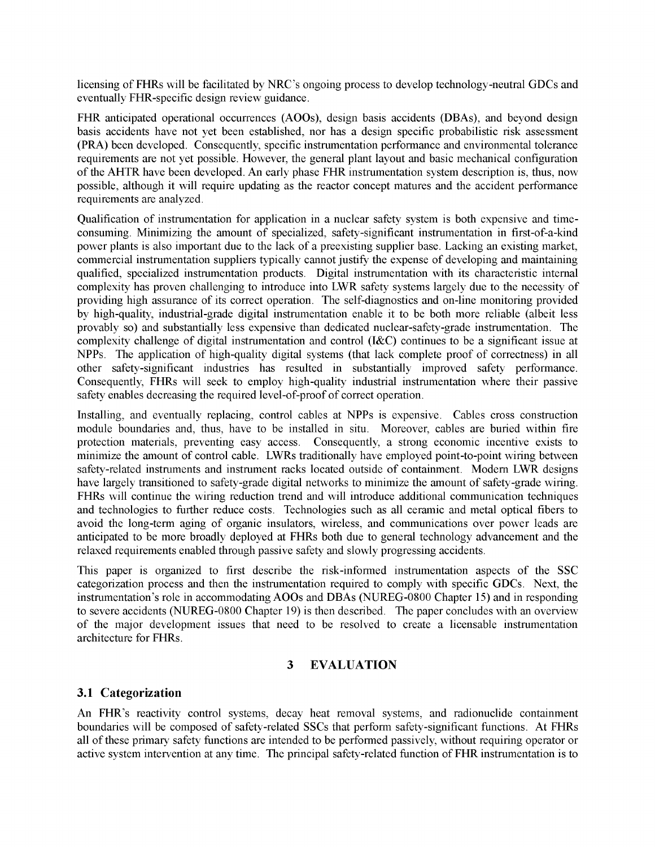licensing of FHRs will be facilitated by NRC's ongoing process to develop technology-neutral GDCs and eventually FHR-specific design review guidance.

FHR anticipated operational occurrences (AOOs), design basis accidents (DBAs), and beyond design basis accidents have not yet been established, nor has a design specific probabilistic risk assessment (PRA) been developed. Consequently, specific instrumentation performance and environmental tolerance requirements are not yet possible. However, the general plant layout and basic mechanical configuration of the AHTR have been developed. An early phase FHR instrumentation system description is, thus, now possible, although it will require updating as the reactor concept matures and the accident performance requirements are analyzed.

Qualification of instrumentation for application in a nuclear safety system is both expensive and timeconsuming. Minimizing the amount of specialized, safety-significant instrumentation in first-of-a-kind power plants is also important due to the lack of a preexisting supplier base. Lacking an existing market, commercial instrumentation suppliers typically cannot justify the expense of developing and maintaining qualified, specialized instrumentation products. Digital instrumentation with its characteristic internal complexity has proven challenging to introduce into LWR safety systems largely due to the necessity of providing high assurance of its correct operation. The self-diagnostics and on-line monitoring provided by high-quality, industrial-grade digital instrumentation enable it to be both more reliable (albeit less provably so) and substantially less expensive than dedicated nuclear-safety-grade instrumentation. The complexity challenge of digital instrumentation and control (I&C) continues to be a significant issue at NPPs. The application of high-quality digital systems (that lack complete proof of correctness) in all other safety-significant industries has resulted in substantially improved safety performance. Consequently, FHRs will seek to employ high-quality industrial instrumentation where their passive safety enables decreasing the required level-of-proof of correct operation.

Installing, and eventually replacing, control cables at NPPs is expensive. Cables cross construction module boundaries and, thus, have to be installed in situ. Moreover, cables are buried within fire protection materials, preventing easy access. Consequently, a strong economic incentive exists to minimize the amount of control cable. LWRs traditionally have employed point-to-point wiring between safety-related instruments and instrument racks located outside of containment. Modern LWR designs have largely transitioned to safety-grade digital networks to minimize the amount of safety-grade wiring. FHRs will continue the wiring reduction trend and will introduce additional communication techniques and technologies to further reduce costs. Technologies such as all ceramic and metal optical fibers to avoid the long-term aging of organic insulators, wireless, and communications over power leads are anticipated to be more broadly deployed at FHRs both due to general technology advancement and the relaxed requirements enabled through passive safety and slowly progressing accidents.

This paper is organized to first describe the risk-informed instrumentation aspects of the SSC categorization process and then the instrumentation required to comply with specific GDCs. Next, the instrumentation's role in accommodating AOOs and DBAs (NUREG-0800 Chapter 15) and in responding to severe accidents (NUREG-0800 Chapter 19) is then described. The paper concludes with an overview of the major development issues that need to be resolved to create a licensable instrumentation architecture for FHRs.

## **3 EVALUATION**

## **3.1 Categorization**

An FHR's reactivity control systems, decay heat removal systems, and radionuclide containment boundaries will be composed of safety-related SSCs that perform safety-significant functions. At FHRs all of these primary safety functions are intended to be performed passively, without requiring operator or active system intervention at any time. The principal safety-related function of FHR instrumentation is to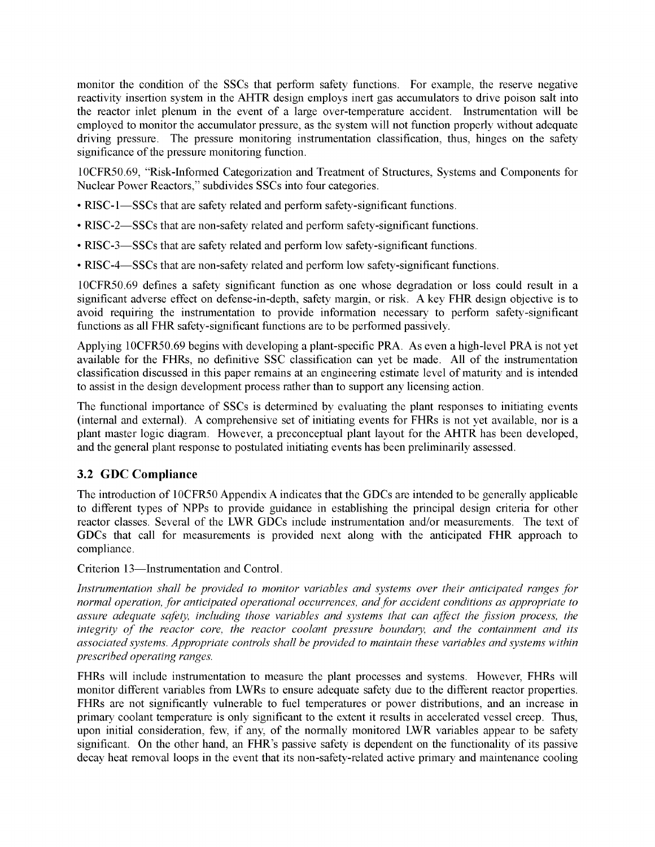monitor the condition of the SSCs that perform safety functions. For example, the reserve negative reactivity insertion system in the AHTR design employs inert gas accumulators to drive poison salt into the reactor inlet plenum in the event of a large over-temperature accident. Instrumentation will be employed to monitor the accumulator pressure, as the system will not function properly without adequate driving pressure. The pressure monitoring instrumentation classification, thus, hinges on the safety significance of the pressure monitoring function.

10CFR50.69, "Risk-Informed Categorization and Treatment of Structures, Systems and Components for Nuclear Power Reactors," subdivides SSCs into four categories.

- RISC-1—SSCs that are safety related and perform safety-significant functions.
- RISC-2—SSCs that are non-safety related and perform safety-significant functions.
- RISC-3—SSCs that are safety related and perform low safety-significant functions.
- RISC-4—SSCs that are non-safety related and perform low safety-significant functions.

10CFR50.69 defines a safety significant function as one whose degradation or loss could result in a significant adverse effect on defense-in-depth, safety margin, or risk. A key FHR design objective is to avoid requiring the instrumentation to provide information necessary to perform safety-significant functions as all FHR safety-significant functions are to be performed passively.

Applying 10CFR50.69 begins with developing a plant-specific PRA. As even a high-level PRA is not yet available for the FHRs, no definitive SSC classification can yet be made. All of the instrumentation classification discussed in this paper remains at an engineering estimate level of maturity and is intended to assist in the design development process rather than to support any licensing action.

The functional importance of SSCs is determined by evaluating the plant responses to initiating events (internal and external). A comprehensive set of initiating events for FHRs is not yet available, nor is a plant master logic diagram. However, a preconceptual plant layout for the AHTR has been developed, and the general plant response to postulated initiating events has been preliminarily assessed.

## **3.2 GDC Compliance**

The introduction of 10CFR50 Appendix A indicates that the GDCs are intended to be generally applicable to different types of NPPs to provide guidance in establishing the principal design criteria for other reactor classes. Several of the LWR GDCs include instrumentation and/or measurements. The text of GDCs that call for measurements is provided next along with the anticipated FHR approach to compliance.

Criterion 13—Instrumentation and Control.

*Instrumentation shall be provided to monitor variables and systems over their anticipated ranges for normal operation, for anticipated operational occurrences, andfor accident conditions as appropriate to assure adequate safety, including those variables and systems that can affect the fission process, the integrity of the reactor core, the reactor coolant pressure boundary, and the containment and its associated systems. Appropriate controls shall be provided to maintain these variables and systems within prescribed operating ranges.*

FHRs will include instrumentation to measure the plant processes and systems. However, FHRs will monitor different variables from LWRs to ensure adequate safety due to the different reactor properties. FHRs are not significantly vulnerable to fuel temperatures or power distributions, and an increase in primary coolant temperature is only significant to the extent it results in accelerated vessel creep. Thus, upon initial consideration, few, if any, of the normally monitored LWR variables appear to be safety significant. On the other hand, an FHR's passive safety is dependent on the functionality of its passive decay heat removal loops in the event that its non-safety-related active primary and maintenance cooling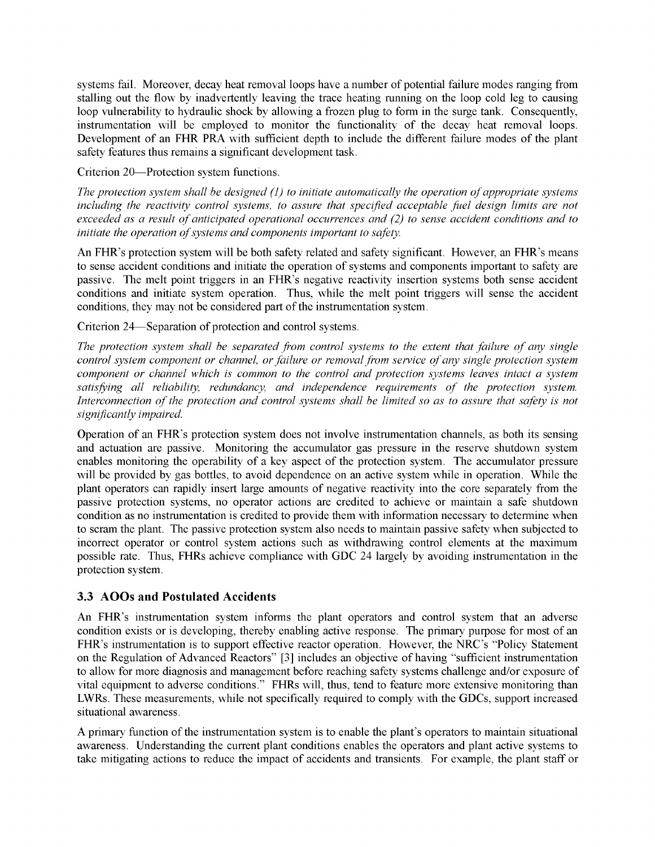systems fail. Moreover, decay heat removal loops have a number of potential failure modes ranging from stalling out the flow by inadvertently leaving the trace heating running on the loop cold leg to causing loop vulnerability to hydraulic shock by allowing a frozen plug to form in the surge tank. Consequently, instrumentation will be employed to monitor the functionality of the decay heat removal loops. Development of an FHR PRA with sufficient depth to include the different failure modes of the plant safety features thus remains a significant development task.

Criterion 20—Protection system functions.

*The protection system shall be designed (1) to initiate automatically the operation ofappropriate systems including the reactivity control systems, to assure that specified acceptable fuel design limits are not exceeded as a result ofanticipated operational occurrences and (2) to sense accident conditions and to initiate the operation ofsystems and components important to safety.*

An FHR's protection system will be both safety related and safety significant. However, an FHR's means to sense accident conditions and initiate the operation of systems and components important to safety are passive. The melt point triggers in an FHR's negative reactivity insertion systems both sense accident conditions and initiate system operation. Thus, while the melt point triggers will sense the accident conditions, they may not be considered part of the instrumentation system.

Criterion 24—Separation of protection and control systems.

*The protection system shall be separated from control systems to the extent that failure of any single control system component or channel, orfailure or removalfrom service ofany single protection system component or channel which is common to the control and protection systems leaves intact a system satisfying all reliability, redundancy, and independence requirements of the protection system. Interconnection ofthe protection and control systems shall be limited so as to assure that safety is not significantly impaired.*

Operation of an FHR's protection system does not involve instrumentation channels, as both its sensing and actuation are passive. Monitoring the accumulator gas pressure in the reserve shutdown system enables monitoring the operability of a key aspect of the protection system. The accumulator pressure will be provided by gas bottles, to avoid dependence on an active system while in operation. While the plant operators can rapidly insert large amounts of negative reactivity into the core separately from the passive protection systems, no operator actions are credited to achieve or maintain a safe shutdown condition as no instrumentation is credited to provide them with information necessary to determine when to scram the plant. The passive protection system also needs to maintain passive safety when subjected to incorrect operator or control system actions such as withdrawing control elements at the maximum possible rate. Thus, FHRs achieve compliance with GDC 24 largely by avoiding instrumentation in the protection system.

## **3.3 AOOs and Postulated Accidents**

An FHR's instrumentation system informs the plant operators and control system that an adverse condition exists or is developing, thereby enabling active response. The primary purpose for most of an FHR's instrumentation is to support effective reactor operation. However, the NRC's "Policy Statement on the Regulation of Advanced Reactors" [3] includes an objective of having "sufficient instrumentation to allow for more diagnosis and management before reaching safety systems challenge and/or exposure of vital equipment to adverse conditions." FHRs will, thus, tend to feature more extensive monitoring than LWRs. These measurements, while not specifically required to comply with the GDCs, support increased situational awareness.

A primary function ofthe instrumentation system is to enable the plant's operators to maintain situational awareness. Understanding the current plant conditions enables the operators and plant active systems to take mitigating actions to reduce the impact of accidents and transients. For example, the plant staff or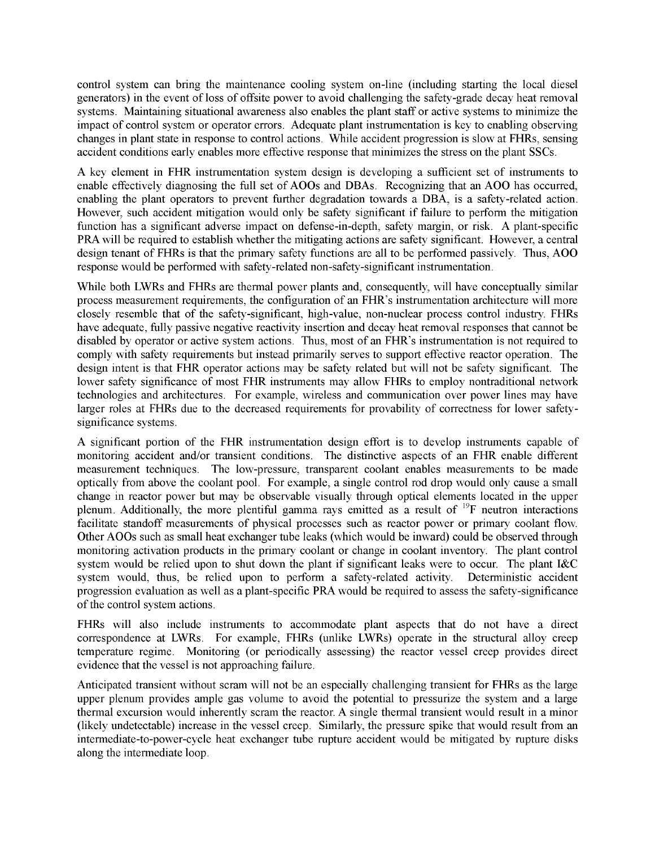control system can bring the maintenance cooling system on-line (including starting the local diesel generators) in the event of loss of offsite power to avoid challenging the safety-grade decay heat removal systems. Maintaining situational awareness also enables the plant staff or active systems to minimize the impact of control system or operator errors. Adequate plant instrumentation is key to enabling observing changes in plant state in response to control actions. While accident progression is slow at FHRs, sensing accident conditions early enables more effective response that minimizes the stress on the plant SSCs.

A key element in FHR instrumentation system design is developing a sufficient set of instruments to enable effectively diagnosing the full set of AOOs and DBAs. Recognizing that an AOO has occurred, enabling the plant operators to prevent further degradation towards a DBA, is a safety-related action. However, such accident mitigation would only be safety significant if failure to perform the mitigation function has a significant adverse impact on defense-in-depth, safety margin, or risk. A plant-specific PRA will be required to establish whether the mitigating actions are safety significant. However, a central design tenant of FHRs is that the primary safety functions are all to be performed passively. Thus, AOO response would be performed with safety-related non-safety-significant instrumentation.

While both LWRs and FHRs are thermal power plants and, consequently, will have conceptually similar process measurement requirements, the configuration of an FHR's instrumentation architecture will more closely resemble that of the safety-significant, high-value, non-nuclear process control industry. FHRs have adequate, fully passive negative reactivity insertion and decay heat removal responses that cannot be disabled by operator or active system actions. Thus, most of an FHR's instrumentation is not required to comply with safety requirements but instead primarily serves to support effective reactor operation. The design intent is that FHR operator actions may be safety related but will not be safety significant. The lower safety significance of most FHR instruments may allow FHRs to employ nontraditional network technologies and architectures. For example, wireless and communication over power lines may have larger roles at FHRs due to the decreased requirements for provability of correctness for lower safetysignificance systems.

A significant portion of the FHR instrumentation design effort is to develop instruments capable of monitoring accident and/or transient conditions. The distinctive aspects of an FHR enable different measurement techniques. The low-pressure, transparent coolant enables measurements to be made optically from above the coolant pool. For example, a single control rod drop would only cause a small change in reactor power but may be observable visually through optical elements located in the upper plenum. Additionally, the more plentiful gamma rays emitted as a result of 19F neutron interactions facilitate standoff measurements of physical processes such as reactor power or primary coolant flow. Other AOOs such as small heat exchanger tube leaks (which would be inward) could be observed through monitoring activation products in the primary coolant or change in coolant inventory. The plant control system would be relied upon to shut down the plant if significant leaks were to occur. The plant I&C system would, thus, be relied upon to perform a safety-related activity. Deterministic accident progression evaluation as well as a plant-specific PRA would be required to assess the safety-significance of the control system actions.

FHRs will also include instruments to accommodate plant aspects that do not have a direct correspondence at LWRs. For example, FHRs (unlike LWRs) operate in the structural alloy creep temperature regime. Monitoring (or periodically assessing) the reactor vessel creep provides direct evidence that the vessel is not approaching failure.

Anticipated transient without scram will not be an especially challenging transient for FHRs as the large upper plenum provides ample gas volume to avoid the potential to pressurize the system and a large thermal excursion would inherently scram the reactor. A single thermal transient would result in a minor (likely undetectable) increase in the vessel creep. Similarly, the pressure spike that would result from an intermediate-to-power-cycle heat exchanger tube rupture accident would be mitigated by rupture disks along the intermediate loop.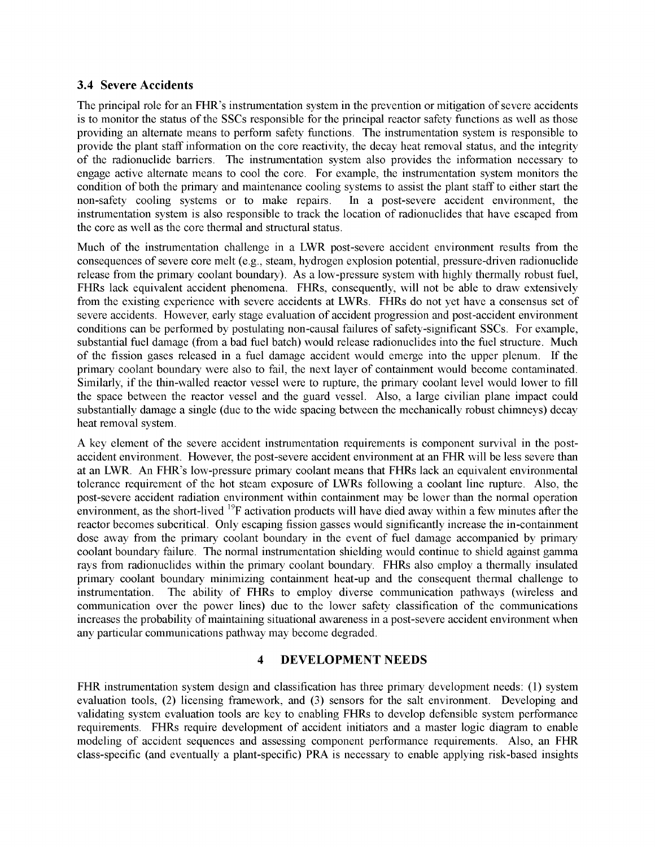#### **3.4 Severe Accidents**

The principal role for an FHR's instrumentation system in the prevention or mitigation of severe accidents is to monitor the status of the SSCs responsible for the principal reactor safety functions as well as those providing an alternate means to perform safety functions. The instrumentation system is responsible to provide the plant staff information on the core reactivity, the decay heat removal status, and the integrity of the radionuclide barriers. The instrumentation system also provides the information necessary to engage active alternate means to cool the core. For example, the instrumentation system monitors the condition of both the primary and maintenance cooling systems to assist the plant staff to either start the non-safety cooling systems or to make repairs. In a post-severe accident environment, the non-safety cooling systems or to make repairs. instrumentation system is also responsible to track the location of radionuclides that have escaped from the core as well as the core thermal and structural status.

Much of the instrumentation challenge in a LWR post-severe accident environment results from the consequences of severe core melt (e.g., steam, hydrogen explosion potential, pressure-driven radionuclide release from the primary coolant boundary). As a low-pressure system with highly thermally robust fuel, FHRs lack equivalent accident phenomena. FHRs, consequently, will not be able to draw extensively from the existing experience with severe accidents at LWRs. FHRs do not yet have a consensus set of severe accidents. However, early stage evaluation of accident progression and post-accident environment conditions can be performed by postulating non-causal failures of safety-significant SSCs. For example, substantial fuel damage (from a bad fuel batch) would release radionuclides into the fuel structure. Much of the fission gases released in a fuel damage accident would emerge into the upper plenum. If the primary coolant boundary were also to fail, the next layer of containment would become contaminated. Similarly, if the thin-walled reactor vessel were to rupture, the primary coolant level would lower to fill the space between the reactor vessel and the guard vessel. Also, a large civilian plane impact could substantially damage a single (due to the wide spacing between the mechanically robust chimneys) decay heat removal system.

A key element of the severe accident instrumentation requirements is component survival in the postaccident environment. However, the post-severe accident environment at an FHR will be less severe than at an LWR. An FHR's low-pressure primary coolant means that FHRs lack an equivalent environmental tolerance requirement of the hot steam exposure of LWRs following a coolant line rupture. Also, the post-severe accident radiation environment within containment may be lower than the normal operation environment, as the short-lived <sup>19</sup>F activation products will have died away within a few minutes after the reactor becomes subcritical. Only escaping fission gasses would significantly increase the in-containment dose away from the primary coolant boundary in the event of fuel damage accompanied by primary coolant boundary failure. The normal instrumentation shielding would continue to shield against gamma rays from radionuclides within the primary coolant boundary. FHRs also employ a thermally insulated primary coolant boundary minimizing containment heat-up and the consequent thermal challenge to instrumentation. The ability of FHRs to employ diverse communication pathways (wireless and communication over the power lines) due to the lower safety classification of the communications increases the probability of maintaining situational awareness in a post-severe accident environment when any particular communications pathway may become degraded.

## **4 DEVELOPMENT NEEDS**

FHR instrumentation system design and classification has three primary development needs: (1) system evaluation tools, (2) licensing framework, and (3) sensors for the salt environment. Developing and validating system evaluation tools are key to enabling FHRs to develop defensible system performance requirements. FHRs require development of accident initiators and a master logic diagram to enable modeling of accident sequences and assessing component performance requirements. Also, an FHR class-specific (and eventually a plant-specific) PRA is necessary to enable applying risk-based insights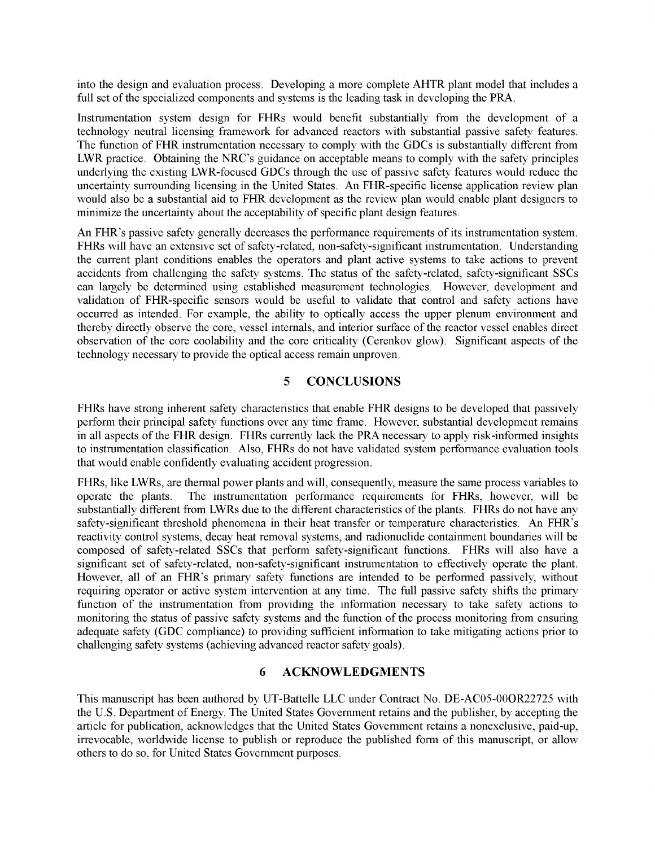into the design and evaluation process. Developing a more complete AHTR plant model that includes a full set of the specialized components and systems is the leading task in developing the PRA.

Instrumentation system design for FHRs would benefit substantially from the development of a technology neutral licensing framework for advanced reactors with substantial passive safety features. The function of FHR instrumentation necessary to comply with the GDCs is substantially different from LWR practice. Obtaining the NRC's guidance on acceptable means to comply with the safety principles underlying the existing LWR-focused GDCs through the use of passive safety features would reduce the uncertainty surrounding licensing in the United States. An FHR-specific license application review plan would also be a substantial aid to FHR development as the review plan would enable plant designers to minimize the uncertainty about the acceptability of specific plant design features.

An FHR's passive safety generally decreases the performance requirements of its instrumentation system. FHRs will have an extensive set of safety-related, non-safety-significant instrumentation. Understanding the current plant conditions enables the operators and plant active systems to take actions to prevent accidents from challenging the safety systems. The status of the safety-related, safety-significant SSCs can largely be determined using established measurement technologies. However, development and validation of FHR-specific sensors would be useful to validate that control and safety actions have occurred as intended. For example, the ability to optically access the upper plenum environment and thereby directly observe the core, vessel internals, and interior surface of the reactor vessel enables direct observation of the core coolability and the core criticality (Cerenkov glow). Significant aspects of the technology necessary to provide the optical access remain unproven.

### **5 CONCLUSIONS**

FHRs have strong inherent safety characteristics that enable FHR designs to be developed that passively perform their principal safety functions over any time frame. However, substantial development remains in all aspects of the FHR design. FHRs currently lack the PRA necessary to apply risk-informed insights to instrumentation classification. Also, FHRs do not have validated system performance evaluation tools that would enable confidently evaluating accident progression.

FHRs, like LWRs, are thermal power plants and will, consequently, measure the same process variables to operate the plants. The instrumentation performance requirements for FHRs, however, will be substantially different from LWRs due to the different characteristics of the plants. FHRs do not have any safety-significant threshold phenomena in their heat transfer or temperature characteristics. An FHR's reactivity control systems, decay heat removal systems, and radionuclide containment boundaries will be composed of safety-related SSCs that perform safety-significant functions. FHRs will also have a significant set of safety-related, non-safety-significant instrumentation to effectively operate the plant. However, all of an FHR's primary safety functions are intended to be performed passively, without requiring operator or active system intervention at any time. The full passive safety shifts the primary function of the instrumentation from providing the information necessary to take safety actions to monitoring the status of passive safety systems and the function of the process monitoring from ensuring adequate safety (GDC compliance) to providing sufficient information to take mitigating actions prior to challenging safety systems (achieving advanced reactor safety goals).

#### **6 ACKNOWLEDGMENTS**

This manuscript has been authored by UT-Battelle LLC under Contract No. DE-AC05-00OR22725 with the U.S. Department of Energy. The United States Government retains and the publisher, by accepting the article for publication, acknowledges that the United States Government retains a nonexclusive, paid-up, irrevocable, worldwide license to publish or reproduce the published form of this manuscript, or allow others to do so, for United States Government purposes.